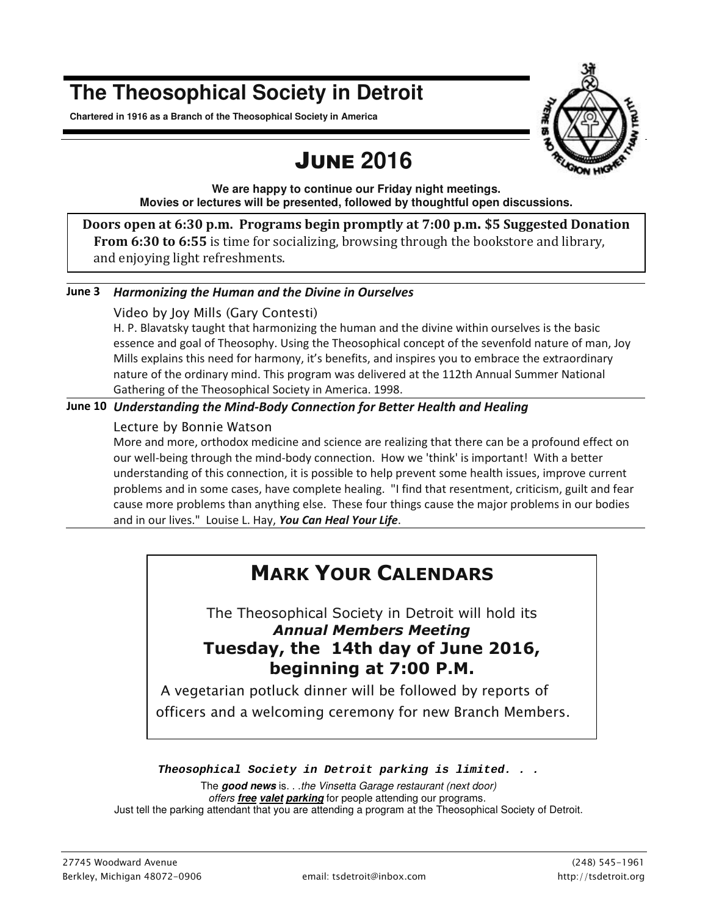# **The Theosophical Society in Detroit**

**Chartered in 1916 as a Branch of the Theosophical Society in America** 

# JUNE **2016**



**We are happy to continue our Friday night meetings. Movies or lectures will be presented, followed by thoughtful open discussions.** 

**Doors open at 6:30 p.m. Programs begin promptly at 7:00 p.m. \$5 Suggested Donation From 6:30 to 6:55** is time for socializing, browsing through the bookstore and library, and enjoying light refreshments.

### **June 3** *Harmonizing the Human and the Divine in Ourselves*

### *Video by Joy Mills (Gary Contesti)*

H. P. Blavatsky taught that harmonizing the human and the divine within ourselves is the basic essence and goal of Theosophy. Using the Theosophical concept of the sevenfold nature of man, Joy Mills explains this need for harmony, it's benefits, and inspires you to embrace the extraordinary nature of the ordinary mind. This program was delivered at the 112th Annual Summer National Gathering of the Theosophical Society in America. 1998.

### **June 10** *Understanding the Mind-Body Connection for Better Health and Healing*

### *Lecture by Bonnie Watson*

More and more, orthodox medicine and science are realizing that there can be a profound effect on our well-being through the mind-body connection. How we 'think' is important! With a better understanding of this connection, it is possible to help prevent some health issues, improve current problems and in some cases, have complete healing. "I find that resentment, criticism, guilt and fear cause more problems than anything else. These four things cause the major problems in our bodies and in our lives." Louise L. Hay, *You Can Heal Your Life*.

## **MARK YOUR CALENDARS**

The Theosophical Society in Detroit will hold its *Annual Members Meeting* **Tuesday, the 14th day of June 2016, beginning at 7:00 P.M.**

*A vegetarian potluck dinner will be followed by reports of officers and a welcoming ceremony for new Branch Members.* 

### *Theosophical Society in Detroit parking is limited. . .*

The **good news** is. . .the Vinsetta Garage restaurant (next door) offers **free valet parking** for people attending our programs. Just tell the parking attendant that you are attending a program at the Theosophical Society of Detroit.